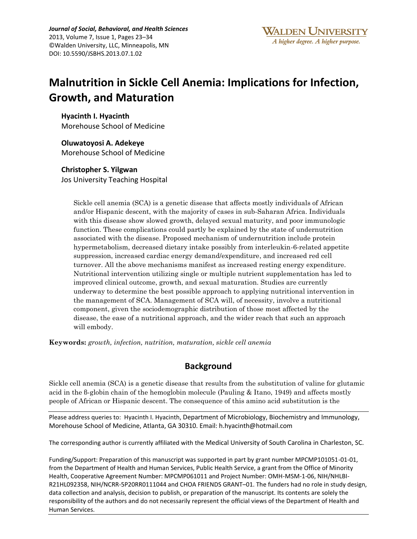*Journal of Social, Behavioral, and Health Sciences* 2013, Volume 7, Issue 1, Pages 23–34 ©Walden University, LLC, Minneapolis, MN DOI: 10.5590/JSBHS.2013.07.1.02

# **Malnutrition in Sickle Cell Anemia: Implications for Infection, Growth, and Maturation**

**Hyacinth I. Hyacinth** Morehouse School of Medicine

**Oluwatoyosi A. Adekeye** Morehouse School of Medicine

### **Christopher S. Yilgwan**

Jos University Teaching Hospital

Sickle cell anemia (SCA) is a genetic disease that affects mostly individuals of African and/or Hispanic descent, with the majority of cases in sub-Saharan Africa. Individuals with this disease show slowed growth, delayed sexual maturity, and poor immunologic function. These complications could partly be explained by the state of undernutrition associated with the disease. Proposed mechanism of undernutrition include protein hypermetabolism, decreased dietary intake possibly from interleukin-6-related appetite suppression, increased cardiac energy demand/expenditure, and increased red cell turnover. All the above mechanisms manifest as increased resting energy expenditure. Nutritional intervention utilizing single or multiple nutrient supplementation has led to improved clinical outcome, growth, and sexual maturation. Studies are currently underway to determine the best possible approach to applying nutritional intervention in the management of SCA. Management of SCA will, of necessity, involve a nutritional component, given the sociodemographic distribution of those most affected by the disease, the ease of a nutritional approach, and the wider reach that such an approach will embody.

**Keywords:** *growth, infection, nutrition, maturation, sickle cell anemia*

# **Background**

Sickle cell anemia (SCA) is a genetic disease that results from the substitution of valine for glutamic acid in the β-globin chain of the hemoglobin molecule (Pauling & Itano, 1949) and affects mostly people of African or Hispanic descent. The consequence of this amino acid substitution is the

Please address queries to: Hyacinth I. Hyacinth, Department of Microbiology, Biochemistry and Immunology, Morehouse School of Medicine, Atlanta, GA 30310. Email: h.hyacinth@hotmail.com

The corresponding author is currently affiliated with the Medical University of South Carolina in Charleston, SC.

Funding/Support: Preparation of this manuscript was supported in part by grant number MPCMP101051-01-01, from the Department of Health and Human Services, Public Health Service, a grant from the Office of Minority Health, Cooperative Agreement Number: MPCMP061011 and Project Number: OMH-MSM-1-06, NIH/NHLBI-R21HL092358, NIH/NCRR-5P20RR0111044 and CHOA FRIENDS GRANT–01. The funders had no role in study design, data collection and analysis, decision to publish, or preparation of the manuscript. Its contents are solely the responsibility of the authors and do not necessarily represent the official views of the Department of Health and Human Services.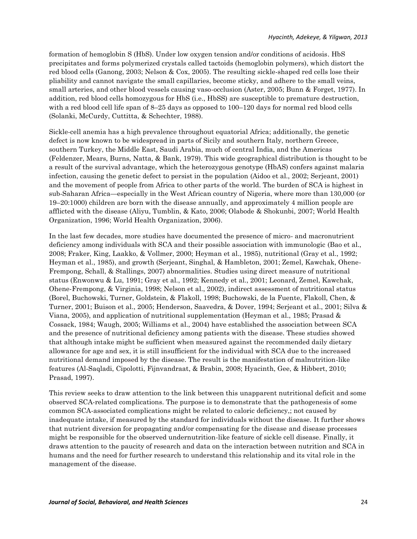formation of hemoglobin S (HbS). Under low oxygen tension and/or conditions of acidosis. HbS precipitates and forms polymerized crystals called tactoids (hemoglobin polymers), which distort the red blood cells (Ganong, 2003; Nelson & Cox, 2005). The resulting sickle-shaped red cells lose their pliability and cannot navigate the small capillaries, become sticky, and adhere to the small veins, small arteries, and other blood vessels causing vaso-occlusion (Aster, 2005; Bunn & Forget, 1977). In addition, red blood cells homozygous for HbS (i.e., HbSS) are susceptible to premature destruction, with a red blood cell life span of 8–25 days as opposed to 100–120 days for normal red blood cells (Solanki, McCurdy, Cuttitta, & Schechter, 1988).

Sickle-cell anemia has a high prevalence throughout equatorial Africa; additionally, the genetic defect is now known to be widespread in parts of Sicily and southern Italy, northern Greece, southern Turkey, the Middle East, Saudi Arabia, much of central India, and the Americas (Feldenzer, Mears, Burns, Natta, & Bank, 1979). This wide geographical distribution is thought to be a result of the survival advantage, which the heterozygous genotype (HbAS) confers against malaria infection, causing the genetic defect to persist in the population (Aidoo et al., 2002; Serjeant, 2001) and the movement of people from Africa to other parts of the world. The burden of SCA is highest in sub-Saharan Africa—especially in the West African country of Nigeria, where more than 130,000 (or 19–20:1000) children are born with the disease annually, and approximately 4 million people are afflicted with the disease (Aliyu, Tumblin, & Kato, 2006; Olabode & Shokunbi, 2007; World Health Organization, 1996; World Health Organization, 2006).

In the last few decades, more studies have documented the presence of micro- and macronutrient deficiency among individuals with SCA and their possible association with immunologic (Bao et al., 2008; Fraker, King, Laakko, & Vollmer, 2000; Heyman et al., 1985), nutritional (Gray et al., 1992; Heyman et al., 1985), and growth (Serjeant, Singhal, & Hambleton, 2001; Zemel, Kawchak, Ohene-Frempong, Schall, & Stallings, 2007) abnormalities. Studies using direct measure of nutritional status (Enwonwu & Lu, 1991; Gray et al., 1992; Kennedy et al., 2001; Leonard, Zemel, Kawchak, Ohene-Frempong, & Virginia, 1998; Nelson et al., 2002), indirect assessment of nutritional status (Borel, Buchowski, Turner, Goldstein, & Flakoll, 1998; Buchowski, de la Fuente, Flakoll, Chen, & Turner, 2001; Buison et al., 2005; Henderson, Saavedra, & Dover, 1994; Serjeant et al., 2001; Silva & Viana, 2005), and application of nutritional supplementation (Heyman et al., 1985; Prasad & Cossack, 1984; Waugh, 2005; Williams et al., 2004) have established the association between SCA and the presence of nutritional deficiency among patients with the disease. These studies showed that although intake might be sufficient when measured against the recommended daily dietary allowance for age and sex, it is still insufficient for the individual with SCA due to the increased nutritional demand imposed by the disease. The result is the manifestation of malnutrition-like features (Al-Saqladi, Cipolotti, Fijnvandraat, & Brabin, 2008; Hyacinth, Gee, & Hibbert, 2010; Prasad, 1997).

This review seeks to draw attention to the link between this unapparent nutritional deficit and some observed SCA-related complications. The purpose is to demonstrate that the pathogenesis of some common SCA-associated complications might be related to caloric deficiency,; not caused by inadequate intake, if measured by the standard for individuals without the disease. It further shows that nutrient diversion for propagating and/or compensating for the disease and disease processes might be responsible for the observed undernutrition-like feature of sickle cell disease. Finally, it draws attention to the paucity of research and data on the interaction between nutrition and SCA in humans and the need for further research to understand this relationship and its vital role in the management of the disease.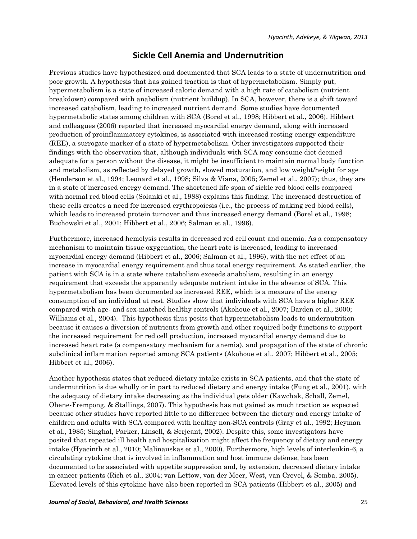# **Sickle Cell Anemia and Undernutrition**

Previous studies have hypothesized and documented that SCA leads to a state of undernutrition and poor growth. A hypothesis that has gained traction is that of hypermetabolism. Simply put, hypermetabolism is a state of increased caloric demand with a high rate of catabolism (nutrient breakdown) compared with anabolism (nutrient buildup). In SCA, however, there is a shift toward increased catabolism, leading to increased nutrient demand. Some studies have documented hypermetabolic states among children with SCA (Borel et al., 1998; Hibbert et al., 2006). Hibbert and colleagues (2006) reported that increased myocardial energy demand, along with increased production of proinflammatory cytokines, is associated with increased resting energy expenditure (REE), a surrogate marker of a state of hypermetabolism. Other investigators supported their findings with the observation that, although individuals with SCA may consume diet deemed adequate for a person without the disease, it might be insufficient to maintain normal body function and metabolism, as reflected by delayed growth, slowed maturation, and low weight/height for age (Henderson et al., 1994; Leonard et al., 1998; Silva & Viana, 2005; Zemel et al., 2007); thus, they are in a state of increased energy demand. The shortened life span of sickle red blood cells compared with normal red blood cells (Solanki et al., 1988) explains this finding. The increased destruction of these cells creates a need for increased erythropoiesis (i.e., the process of making red blood cells), which leads to increased protein turnover and thus increased energy demand (Borel et al., 1998; Buchowski et al., 2001; Hibbert et al., 2006; Salman et al., 1996).

Furthermore, increased hemolysis results in decreased red cell count and anemia. As a compensatory mechanism to maintain tissue oxygenation, the heart rate is increased, leading to increased myocardial energy demand (Hibbert et al., 2006; Salman et al., 1996), with the net effect of an increase in myocardial energy requirement and thus total energy requirement. As stated earlier, the patient with SCA is in a state where catabolism exceeds anabolism, resulting in an energy requirement that exceeds the apparently adequate nutrient intake in the absence of SCA. This hypermetabolism has been documented as increased REE, which is a measure of the energy consumption of an individual at rest. Studies show that individuals with SCA have a higher REE compared with age- and sex-matched healthy controls (Akohoue et al., 2007; Barden et al., 2000; Williams et al., 2004). This hypothesis thus posits that hypermetabolism leads to undernutrition because it causes a diversion of nutrients from growth and other required body functions to support the increased requirement for red cell production, increased myocardial energy demand due to increased heart rate (a compensatory mechanism for anemia), and propagation of the state of chronic subclinical inflammation reported among SCA patients (Akohoue et al., 2007; Hibbert et al., 2005; Hibbert et al., 2006).

Another hypothesis states that reduced dietary intake exists in SCA patients, and that the state of undernutrition is due wholly or in part to reduced dietary and energy intake (Fung et al., 2001), with the adequacy of dietary intake decreasing as the individual gets older (Kawchak, Schall, Zemel, Ohene-Frempong, & Stallings, 2007). This hypothesis has not gained as much traction as expected because other studies have reported little to no difference between the dietary and energy intake of children and adults with SCA compared with healthy non-SCA controls (Gray et al., 1992; Heyman et al., 1985; Singhal, Parker, Linsell, & Serjeant, 2002). Despite this, some investigators have posited that repeated ill health and hospitalization might affect the frequency of dietary and energy intake (Hyacinth et al., 2010; Malinauskas et al., 2000). Furthermore, high levels of interleukin-6, a circulating cytokine that is involved in inflammation and host immune defense, has been documented to be associated with appetite suppression and, by extension, decreased dietary intake in cancer patients (Rich et al., 2004; van Lettow, van der Meer, West, van Crevel, & Semba, 2005). Elevated levels of this cytokine have also been reported in SCA patients (Hibbert et al., 2005) and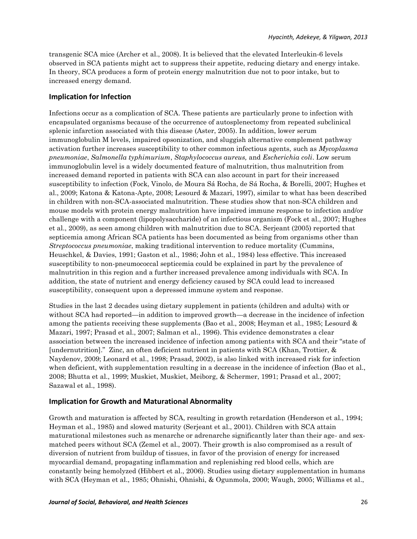transgenic SCA mice (Archer et al., 2008). It is believed that the elevated Interleukin-6 levels observed in SCA patients might act to suppress their appetite, reducing dietary and energy intake. In theory, SCA produces a form of protein energy malnutrition due not to poor intake, but to increased energy demand.

#### **Implication for Infection**

Infections occur as a complication of SCA. These patients are particularly prone to infection with encapsulated organisms because of the occurrence of autosplenectomy from repeated subclinical splenic infarction associated with this disease (Aster, 2005). In addition, lower serum immunoglobulin M levels, impaired opsonization, and sluggish alternative complement pathway activation further increases susceptibility to other common infectious agents, such as *Mycoplasma pneumoniae*, *Salmonella typhimurium*, *Staphylococcus aureus,* and *Escherichia coli*. Low serum immunoglobulin level is a widely documented feature of malnutrition, thus malnutrition from increased demand reported in patients with SCA can also account in part for their increased susceptibility to infection (Fock, Vinolo, de Moura Sá Rocha, de Sá Rocha, & Borelli, 2007; Hughes et al., 2009; Katona & Katona-Apte, 2008; Lesourd & Mazari, 1997), similar to what has been described in children with non-SCA-associated malnutrition. These studies show that non-SCA children and mouse models with protein energy malnutrition have impaired immune response to infection and/or challenge with a component (lipopolysaccharide) of an infectious organism (Fock et al., 2007; Hughes et al., 2009), as seen among children with malnutrition due to SCA. Serjeant (2005) reported that septicemia among African SCA patients has been documented as being from organisms other than *Streptococcus pneumoniae*, making traditional intervention to reduce mortality (Cummins, Heuschkel, & Davies, 1991; Gaston et al., 1986; John et al., 1984) less effective. This increased susceptibility to non-pneumococcal septicemia could be explained in part by the prevalence of malnutrition in this region and a further increased prevalence among individuals with SCA. In addition, the state of nutrient and energy deficiency caused by SCA could lead to increased susceptibility, consequent upon a depressed immune system and response.

Studies in the last 2 decades using dietary supplement in patients (children and adults) with or without SCA had reported—in addition to improved growth—a decrease in the incidence of infection among the patients receiving these supplements (Bao et al., 2008; Heyman et al., 1985; Lesourd & Mazari, 1997; Prasad et al., 2007; Salman et al., 1996). This evidence demonstrates a clear association between the increased incidence of infection among patients with SCA and their "state of [undernutrition]." Zinc, an often deficient nutrient in patients with SCA (Khan, Trottier, & Naydenov, 2009; Leonard et al., 1998; Prasad, 2002), is also linked with increased risk for infection when deficient, with supplementation resulting in a decrease in the incidence of infection (Bao et al., 2008; Bhutta et al., 1999; Muskiet, Muskiet, Meiborg, & Schermer, 1991; Prasad et al., 2007; Sazawal et al., 1998).

#### **Implication for Growth and Maturational Abnormality**

Growth and maturation is affected by SCA, resulting in growth retardation (Henderson et al., 1994; Heyman et al., 1985) and slowed maturity (Serjeant et al., 2001). Children with SCA attain maturational milestones such as menarche or adrenarche significantly later than their age- and sexmatched peers without SCA (Zemel et al., 2007). Their growth is also compromised as a result of diversion of nutrient from buildup of tissues, in favor of the provision of energy for increased myocardial demand, propagating inflammation and replenishing red blood cells, which are constantly being hemolyzed (Hibbert et al., 2006). Studies using dietary supplementation in humans with SCA (Heyman et al., 1985; Ohnishi, Ohnishi, & Ogunmola, 2000; Waugh, 2005; Williams et al.,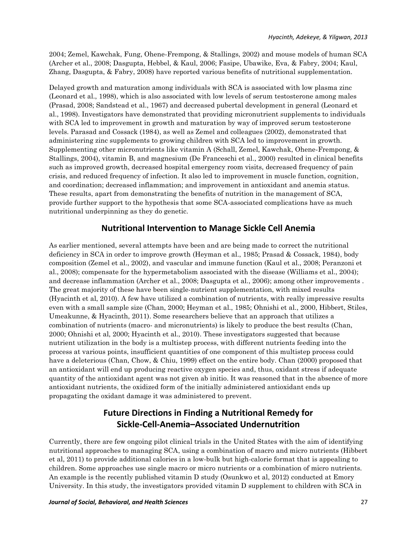2004; Zemel, Kawchak, Fung, Ohene-Frempong, & Stallings, 2002) and mouse models of human SCA (Archer et al., 2008; Dasgupta, Hebbel, & Kaul, 2006; Fasipe, Ubawike, Eva, & Fabry, 2004; Kaul, Zhang, Dasgupta, & Fabry, 2008) have reported various benefits of nutritional supplementation.

Delayed growth and maturation among individuals with SCA is associated with low plasma zinc (Leonard et al., 1998), which is also associated with low levels of serum testosterone among males (Prasad, 2008; Sandstead et al., 1967) and decreased pubertal development in general (Leonard et al., 1998). Investigators have demonstrated that providing micronutrient supplements to individuals with SCA led to improvement in growth and maturation by way of improved serum testosterone levels. Parasad and Cossack (1984), as well as Zemel and colleagues (2002), demonstrated that administering zinc supplements to growing children with SCA led to improvement in growth. Supplementing other micronutrients like vitamin A (Schall, Zemel, Kawchak, Ohene-Frempong, & Stallings, 2004), vitamin B, and magnesium (De Franceschi et al., 2000) resulted in clinical benefits such as improved growth, decreased hospital emergency room visits, decreased frequency of pain crisis, and reduced frequency of infection. It also led to improvement in muscle function, cognition, and coordination; decreased inflammation; and improvement in antioxidant and anemia status. These results, apart from demonstrating the benefits of nutrition in the management of SCA, provide further support to the hypothesis that some SCA-associated complications have as much nutritional underpinning as they do genetic.

## **Nutritional Intervention to Manage Sickle Cell Anemia**

As earlier mentioned, several attempts have been and are being made to correct the nutritional deficiency in SCA in order to improve growth (Heyman et al., 1985; Prasad & Cossack, 1984), body composition (Zemel et al., 2002), and vascular and immune function (Kaul et al., 2008; Peranzoni et al., 2008); compensate for the hypermetabolism associated with the disease (Williams et al., 2004); and decrease inflammation (Archer et al., 2008; Dasgupta et al., 2006); among other improvements . The great majority of these have been single-nutrient supplementation, with mixed results (Hyacinth et al, 2010). A few have utilized a combination of nutrients, with really impressive results even with a small sample size (Chan, 2000; Heyman et al., 1985; Ohnishi et al., 2000, Hibbert, Stiles, Umeakunne, & Hyacinth, 2011). Some researchers believe that an approach that utilizes a combination of nutrients (macro- and micronutrients) is likely to produce the best results (Chan, 2000; Ohnishi et al, 2000; Hyacinth et al., 2010). These investigators suggested that because nutrient utilization in the body is a multistep process, with different nutrients feeding into the process at various points, insufficient quantities of one component of this multistep process could have a deleterious (Chan, Chow, & Chiu, 1999) effect on the entire body. Chan (2000) proposed that an antioxidant will end up producing reactive oxygen species and, thus, oxidant stress if adequate quantity of the antioxidant agent was not given ab initio. It was reasoned that in the absence of more antioxidant nutrients, the oxidized form of the initially administered antioxidant ends up propagating the oxidant damage it was administered to prevent.

# **Future Directions in Finding a Nutritional Remedy for Sickle-Cell-Anemia–Associated Undernutrition**

Currently, there are few ongoing pilot clinical trials in the United States with the aim of identifying nutritional approaches to managing SCA, using a combination of macro and micro nutrients (Hibbert et al, 2011) to provide additional calories in a low-bulk but high-calorie format that is appealing to children. Some approaches use single macro or micro nutrients or a combination of micro nutrients. An example is the recently published vitamin D study (Osunkwo et al, 2012) conducted at Emory University. In this study, the investigators provided vitamin D supplement to children with SCA in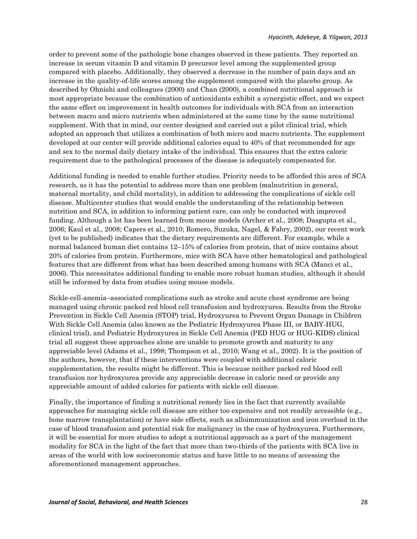order to prevent some of the pathologic bone changes observed in these patients. They reported an increase in serum vitamin D and vitamin D precursor level among the supplemented group compared with placebo. Additionally, they observed a decrease in the number of pain days and an increase in the quality-of-life scores among the supplement compared with the placebo group. As described by Ohnishi and colleagues (2000) and Chan (2000), a combined nutritional approach is most appropriate because the combination of antioxidants exhibit a synergistic effect, and we expect the same effect on improvement in health outcomes for individuals with SCA from an interaction between macro and micro nutrients when administered at the same time by the same nutritional supplement. With that in mind, our center designed and carried out a pilot clinical trial, which adopted an approach that utilizes a combination of both micro and macro nutrients. The supplement developed at our center will provide additional calories equal to 40% of that recommended for age and sex to the normal daily dietary intake of the individual. This ensures that the extra caloric requirement due to the pathological processes of the disease is adequately compensated for.

Additional funding is needed to enable further studies. Priority needs to be afforded this area of SCA research, as it has the potential to address more than one problem (malnutrition in general, maternal mortality, and child mortality), in addition to addressing the complications of sickle cell disease. Multicenter studies that would enable the understanding of the relationship between nutrition and SCA, in addition to informing patient care, can only be conducted with improved funding. Although a lot has been learned from mouse models (Archer et al., 2008; Dasgupta et al., 2006; Kaul et al., 2008; Capers et al., 2010; Romero, Suzuka, Nagel, & Fabry, 2002), our recent work (yet to be published) indicates that the dietary requirements are different. For example, while a normal balanced human diet contains 12–15% of calories from protein, that of mice contains about 20% of calories from protein. Furthermore, mice with SCA have other hematological and pathological features that are different from what has been described among humans with SCA (Manci et al., 2006). This necessitates additional funding to enable more robust human studies, although it should still be informed by data from studies using mouse models.

Sickle-cell-anemia–associated complications such as stroke and acute chest syndrome are being managed using chronic packed red blood cell transfusion and hydroxyurea. Results from the Stroke Prevention in Sickle Cell Anemia (STOP) trial, Hydroxyurea to Prevent Organ Damage in Children With Sickle Cell Anemia (also known as the Pediatric Hydroxyurea Phase III, or BABY-HUG, clinical trial), and Pediatric Hydroxyurea in Sickle Cell Anemia (PED HUG or HUG-KIDS) clinical trial all suggest these approaches alone are unable to promote growth and maturity to any appreciable level (Adams et al., 1998; Thompson et al., 2010; Wang et al., 2002). It is the position of the authors, however, that if these interventions were coupled with additional caloric supplementation, the results might be different. This is because neither packed red blood cell transfusion nor hydroxyurea provide any appreciable decrease in caloric need or provide any appreciable amount of added calories for patients with sickle cell disease.

Finally, the importance of finding a nutritional remedy lies in the fact that currently available approaches for managing sickle cell disease are either too expensive and not readily accessible (e.g., bone marrow transplantation) or have side effects, such as alloimmunization and iron overload in the case of blood transfusion and potential risk for malignancy in the case of hydroxyurea. Furthermore, it will be essential for more studies to adopt a nutritional approach as a part of the management modality for SCA in the light of the fact that more than two-thirds of the patients with SCA live in areas of the world with low socioeconomic status and have little to no means of accessing the aforementioned management approaches.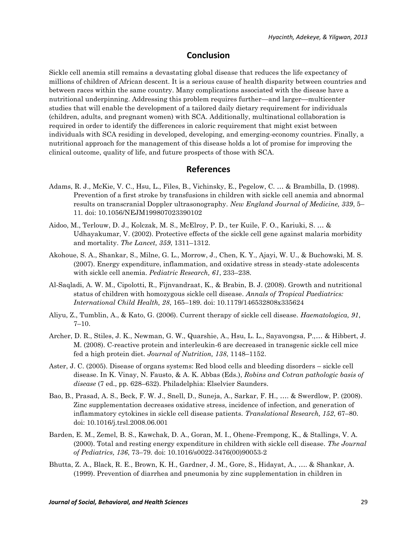## **Conclusion**

Sickle cell anemia still remains a devastating global disease that reduces the life expectancy of millions of children of African descent. It is a serious cause of health disparity between countries and between races within the same country. Many complications associated with the disease have a nutritional underpinning. Addressing this problem requires further—and larger—multicenter studies that will enable the development of a tailored daily dietary requirement for individuals (children, adults, and pregnant women) with SCA. Additionally, multinational collaboration is required in order to identify the differences in caloric requirement that might exist between individuals with SCA residing in developed, developing, and emerging-economy countries. Finally, a nutritional approach for the management of this disease holds a lot of promise for improving the clinical outcome, quality of life, and future prospects of those with SCA.

### **References**

- Adams, R. J., McKie, V. C., Hsu, L., Files, B., Vichinsky, E., Pegelow, C. … & Brambilla, D. (1998). Prevention of a first stroke by transfusions in children with sickle cell anemia and abnormal results on transcranial Doppler ultrasonography. *New England Journal of Medicine, 339*, 5– 11. doi: 10.1056/NEJM199807023390102
- Aidoo, M., Terlouw, D. J., Kolczak, M. S., McElroy, P. D., ter Kuile, F. O., Kariuki, S. … & Udhayakumar, V. (2002). Protective effects of the sickle cell gene against malaria morbidity and mortality. *The Lancet, 359*, 1311–1312.
- Akohoue, S. A., Shankar, S., Milne, G. L., Morrow, J., Chen, K. Y., Ajayi, W. U., & Buchowski, M. S. (2007). Energy expenditure, inflammation, and oxidative stress in steady-state adolescents with sickle cell anemia. *Pediatric Research, 61*, 233–238.
- Al-Saqladi, A. W. M., Cipolotti, R., Fijnvandraat, K., & Brabin, B. J. (2008). Growth and nutritional status of children with homozygous sickle cell disease. *Annals of Tropical Paediatrics: International Child Health, 28*, 165–189. doi: 10.1179/146532808x335624
- Aliyu, Z., Tumblin, A., & Kato, G. (2006). Current therapy of sickle cell disease. *Haematologica, 91*, 7–10.
- Archer, D. R., Stiles, J. K., Newman, G. W., Quarshie, A., Hsu, L. L., Sayavongsa, P.,… & Hibbert, J. M. (2008). C-reactive protein and interleukin-6 are decreased in transgenic sickle cell mice fed a high protein diet. *Journal of Nutrition, 138*, 1148–1152.
- Aster, J. C. (2005). Disease of organs systems: Red blood cells and bleeding disorders sickle cell disease. In K. Vinay, N. Fausto, & A. K. Abbas (Eds.), *Robins and Cotran pathologic basis of disease* (7 ed., pp. 628–632). Philadelphia: Elselvier Saunders.
- Bao, B., Prasad, A. S., Beck, F. W. J., Snell, D., Suneja, A., Sarkar, F. H., …. & Swerdlow, P. (2008). Zinc supplementation decreases oxidative stress, incidence of infection, and generation of inflammatory cytokines in sickle cell disease patients. *Translational Research, 152*, 67–80. doi: 10.1016/j.trsl.2008.06.001
- Barden, E. M., Zemel, B. S., Kawchak, D. A., Goran, M. I., Ohene-Frempong, K., & Stallings, V. A. (2000). Total and resting energy expenditure in children with sickle cell disease. *The Journal of Pediatrics, 136*, 73–79. doi: 10.1016/s0022-3476(00)90053-2
- Bhutta, Z. A., Black, R. E., Brown, K. H., Gardner, J. M., Gore, S., Hidayat, A., …. & Shankar, A. (1999). Prevention of diarrhea and pneumonia by zinc supplementation in children in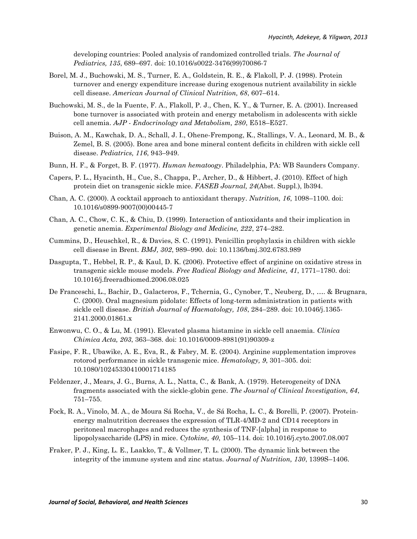developing countries: Pooled analysis of randomized controlled trials. *The Journal of Pediatrics, 135*, 689–697. doi: 10.1016/s0022-3476(99)70086-7

- Borel, M. J., Buchowski, M. S., Turner, E. A., Goldstein, R. E., & Flakoll, P. J. (1998). Protein turnover and energy expenditure increase during exogenous nutrient availability in sickle cell disease. *American Journal of Clinical Nutrition, 68*, 607–614.
- Buchowski, M. S., de la Fuente, F. A., Flakoll, P. J., Chen, K. Y., & Turner, E. A. (2001). Increased bone turnover is associated with protein and energy metabolism in adolescents with sickle cell anemia. *AJP - Endocrinology and Metabolism, 280*, E518–E527.
- Buison, A. M., Kawchak, D. A., Schall, J. I., Ohene-Frempong, K., Stallings, V. A., Leonard, M. B., & Zemel, B. S. (2005). Bone area and bone mineral content deficits in children with sickle cell disease. *Pediatrics, 116*, 943–949.
- Bunn, H. F., & Forget, B. F. (1977). *Human hematoogy*. Philadelphia, PA: WB Saunders Company.
- Capers, P. L., Hyacinth, H., Cue, S., Chappa, P., Archer, D., & Hibbert, J. (2010). Effect of high protein diet on transgenic sickle mice. *FASEB Journal, 24*(Abst. Suppl.), lb394.
- Chan, A. C. (2000). A cocktail approach to antioxidant therapy. *Nutrition, 16*, 1098–1100. doi: 10.1016/s0899-9007(00)00445-7
- Chan, A. C., Chow, C. K., & Chiu, D. (1999). Interaction of antioxidants and their implication in genetic anemia. *Experimental Biology and Medicine, 222*, 274–282.
- Cummins, D., Heuschkel, R., & Davies, S. C. (1991). Penicillin prophylaxis in children with sickle cell disease in Brent. *BMJ, 302*, 989–990. doi: 10.1136/bmj.302.6783.989
- Dasgupta, T., Hebbel, R. P., & Kaul, D. K. (2006). Protective effect of arginine on oxidative stress in transgenic sickle mouse models. *Free Radical Biology and Medicine, 41*, 1771–1780. doi: 10.1016/j.freeradbiomed.2006.08.025
- De Franceschi, L., Bachir, D., Galacteros, F., Tchernia, G., Cynober, T., Neuberg, D., …. & Brugnara, C. (2000). Oral magnesium pidolate: Effects of long-term administration in patients with sickle cell disease. *British Journal of Haematology, 108*, 284–289. doi: 10.1046/j.1365- 2141.2000.01861.x
- Enwonwu, C. O., & Lu, M. (1991). Elevated plasma histamine in sickle cell anaemia. *Clinica Chimica Acta, 203*, 363–368. doi: 10.1016/0009-8981(91)90309-z
- Fasipe, F. R., Ubawike, A. E., Eva, R., & Fabry, M. E. (2004). Arginine supplementation improves rotorod performance in sickle transgenic mice. *Hematology, 9*, 301–305. doi: 10.1080/10245330410001714185
- Feldenzer, J., Mears, J. G., Burns, A. L., Natta, C., & Bank, A. (1979). Heterogeneity of DNA fragments associated with the sickle-globin gene. *The Journal of Clinical Investigation, 64*, 751–755.
- Fock, R. A., Vinolo, M. A., de Moura Sá Rocha, V., de Sá Rocha, L. C., & Borelli, P. (2007). Proteinenergy malnutrition decreases the expression of TLR-4/MD-2 and CD14 receptors in peritoneal macrophages and reduces the synthesis of TNF-[alpha] in response to lipopolysaccharide (LPS) in mice. *Cytokine, 40*, 105–114. doi: 10.1016/j.cyto.2007.08.007
- Fraker, P. J., King, L. E., Laakko, T., & Vollmer, T. L. (2000). The dynamic link between the integrity of the immune system and zinc status. *Journal of Nutrition, 130*, 1399S–1406.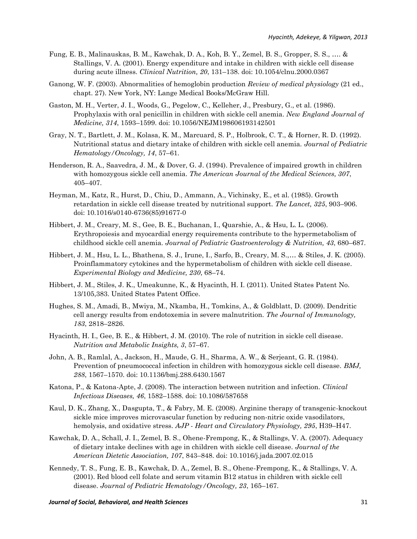- Fung, E. B., Malinauskas, B. M., Kawchak, D. A., Koh, B. Y., Zemel, B. S., Gropper, S. S., …. & Stallings, V. A. (2001). Energy expenditure and intake in children with sickle cell disease during acute illness. *Clinical Nutrition, 20*, 131–138. doi: 10.1054/clnu.2000.0367
- Ganong, W. F. (2003). Abnormalities of hemoglobin production *Review of medical physiology* (21 ed., chapt. 27). New York, NY: Lange Medical Books/McGraw Hill.
- Gaston, M. H., Verter, J. I., Woods, G., Pegelow, C., Kelleher, J., Presbury, G., et al. (1986). Prophylaxis with oral penicillin in children with sickle cell anemia. *New England Journal of Medicine, 314*, 1593–1599. doi: 10.1056/NEJM198606193142501
- Gray, N. T., Bartlett, J. M., Kolasa, K. M., Marcuard, S. P., Holbrook, C. T., & Horner, R. D. (1992). Nutritional status and dietary intake of children with sickle cell anemia. *Journal of Pediatric Hematology/Oncology, 14*, 57–61.
- Henderson, R. A., Saavedra, J. M., & Dover, G. J. (1994). Prevalence of impaired growth in children with homozygous sickle cell anemia. *The American Journal of the Medical Sciences, 307*, 405–407.
- Heyman, M., Katz, R., Hurst, D., Chiu, D., Ammann, A., Vichinsky, E., et al. (1985). Growth retardation in sickle cell disease treated by nutritional support. *The Lancet, 325*, 903–906. doi: 10.1016/s0140-6736(85)91677-0
- Hibbert, J. M., Creary, M. S., Gee, B. E., Buchanan, I., Quarshie, A., & Hsu, L. L. (2006). Erythropoiesis and myocardial energy requirements contribute to the hypermetabolism of childhood sickle cell anemia. *Journal of Pediatric Gastroenterology & Nutrition, 43*, 680–687.
- Hibbert, J. M., Hsu, L. L., Bhathena, S. J., Irune, I., Sarfo, B., Creary, M. S.,… & Stiles, J. K. (2005). Proinflammatory cytokines and the hypermetabolism of children with sickle cell disease. *Experimental Biology and Medicine, 230*, 68–74.
- Hibbert, J. M., Stiles, J. K., Umeakunne, K., & Hyacinth, H. I. (2011). United States Patent No. 13/105,383. United States Patent Office.
- Hughes, S. M., Amadi, B., Mwiya, M., Nkamba, H., Tomkins, A., & Goldblatt, D. (2009). Dendritic cell anergy results from endotoxemia in severe malnutrition. *The Journal of Immunology, 183*, 2818–2826.
- Hyacinth, H. I., Gee, B. E., & Hibbert, J. M. (2010). The role of nutrition in sickle cell disease. *Nutrition and Metabolic Insights, 3*, 57–67.
- John, A. B., Ramlal, A., Jackson, H., Maude, G. H., Sharma, A. W., & Serjeant, G. R. (1984). Prevention of pneumococcal infection in children with homozygous sickle cell disease. *BMJ, 288*, 1567–1570. doi: 10.1136/bmj.288.6430.1567
- Katona, P., & Katona-Apte, J. (2008). The interaction between nutrition and infection. *Clinical Infectious Diseases, 46*, 1582–1588. doi: 10.1086/587658
- Kaul, D. K., Zhang, X., Dasgupta, T., & Fabry, M. E. (2008). Arginine therapy of transgenic-knockout sickle mice improves microvascular function by reducing non-nitric oxide vasodilators, hemolysis, and oxidative stress. *AJP - Heart and Circulatory Physiology, 295*, H39–H47.
- Kawchak, D. A., Schall, J. I., Zemel, B. S., Ohene-Frempong, K., & Stallings, V. A. (2007). Adequacy of dietary intake declines with age in children with sickle cell disease. *Journal of the American Dietetic Association, 107*, 843–848. doi: 10.1016/j.jada.2007.02.015
- Kennedy, T. S., Fung, E. B., Kawchak, D. A., Zemel, B. S., Ohene-Frempong, K., & Stallings, V. A. (2001). Red blood cell folate and serum vitamin B12 status in children with sickle cell disease. *Journal of Pediatric Hematology/Oncology, 23*, 165–167.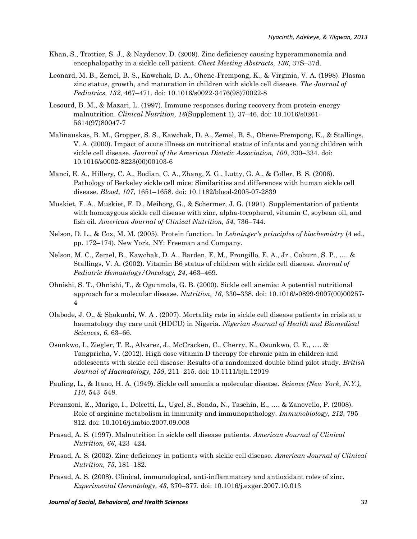- Khan, S., Trottier, S. J., & Naydenov, D. (2009). Zinc deficiency causing hyperammonemia and encephalopathy in a sickle cell patient. *Chest Meeting Abstracts, 136*, 37S–37d.
- Leonard, M. B., Zemel, B. S., Kawchak, D. A., Ohene-Frempong, K., & Virginia, V. A. (1998). Plasma zinc status, growth, and maturation in children with sickle cell disease. *The Journal of Pediatrics, 132*, 467–471. doi: 10.1016/s0022-3476(98)70022-8
- Lesourd, B. M., & Mazari, L. (1997). Immune responses during recovery from protein-energy malnutrition. *Clinical Nutrition, 16*(Supplement 1), 37–46. doi: 10.1016/s0261- 5614(97)80047-7
- Malinauskas, B. M., Gropper, S. S., Kawchak, D. A., Zemel, B. S., Ohene-Frempong, K., & Stallings, V. A. (2000). Impact of acute illness on nutritional status of infants and young children with sickle cell disease. *Journal of the American Dietetic Association, 100*, 330–334. doi: 10.1016/s0002-8223(00)00103-6
- Manci, E. A., Hillery, C. A., Bodian, C. A., Zhang, Z. G., Lutty, G. A., & Coller, B. S. (2006). Pathology of Berkeley sickle cell mice: Similarities and differences with human sickle cell disease. *Blood, 107*, 1651–1658. doi: 10.1182/blood-2005-07-2839
- Muskiet, F. A., Muskiet, F. D., Meiborg, G., & Schermer, J. G. (1991). Supplementation of patients with homozygous sickle cell disease with zinc, alpha-tocopherol, vitamin C, soybean oil, and fish oil. *American Journal of Clinical Nutrition, 54*, 736–744.
- Nelson, D. L., & Cox, M. M. (2005). Protein function. In *Lehninger's principles of biochemistry* (4 ed., pp. 172–174). New York, NY: Freeman and Company.
- Nelson, M. C., Zemel, B., Kawchak, D. A., Barden, E. M., Frongillo, E. A., Jr., Coburn, S. P., …. & Stallings, V. A. (2002). Vitamin B6 status of children with sickle cell disease. *Journal of Pediatric Hematology/Oncology, 24*, 463–469.
- Ohnishi, S. T., Ohnishi, T., & Ogunmola, G. B. (2000). Sickle cell anemia: A potential nutritional approach for a molecular disease. *Nutrition, 16*, 330–338. doi: 10.1016/s0899-9007(00)00257- 4
- Olabode, J. O., & Shokunbi, W. A . (2007). Mortality rate in sickle cell disease patients in crisis at a haematology day care unit (HDCU) in Nigeria. *Nigerian Journal of Health and Biomedical Sciences, 6*, 63–66.
- Osunkwo, I., Ziegler, T. R., Alvarez, J., McCracken, C., Cherry, K., Osunkwo, C. E., …. & Tangpricha, V. (2012). High dose vitamin D therapy for chronic pain in children and adolescents with sickle cell disease: Results of a randomized double blind pilot study. *British Journal of Haematology, 159*, 211–215. doi: 10.1111/bjh.12019
- Pauling, L., & Itano, H. A. (1949). Sickle cell anemia a molecular disease. *Science (New York, N.Y.), 110*, 543–548.
- Peranzoni, E., Marigo, I., Dolcetti, L., Ugel, S., Sonda, N., Taschin, E., …. & Zanovello, P. (2008). Role of arginine metabolism in immunity and immunopathology. *Immunobiology, 212*, 795– 812. doi: 10.1016/j.imbio.2007.09.008
- Prasad, A. S. (1997). Malnutrition in sickle cell disease patients. *American Journal of Clinical Nutrition, 66*, 423–424.
- Prasad, A. S. (2002). Zinc deficiency in patients with sickle cell disease. *American Journal of Clinical Nutrition, 75*, 181–182.
- Prasad, A. S. (2008). Clinical, immunological, anti-inflammatory and antioxidant roles of zinc. *Experimental Gerontology, 43*, 370–377. doi: 10.1016/j.exger.2007.10.013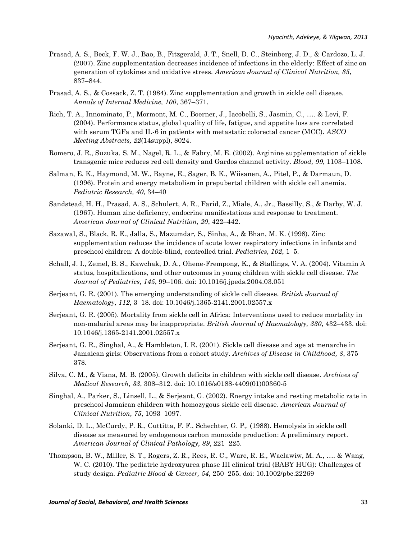- Prasad, A. S., Beck, F. W. J., Bao, B., Fitzgerald, J. T., Snell, D. C., Steinberg, J. D., & Cardozo, L. J. (2007). Zinc supplementation decreases incidence of infections in the elderly: Effect of zinc on generation of cytokines and oxidative stress. *American Journal of Clinical Nutrition, 85*, 837–844.
- Prasad, A. S., & Cossack, Z. T. (1984). Zinc supplementation and growth in sickle cell disease. *Annals of Internal Medicine, 100*, 367–371.
- Rich, T. A., Innominato, P., Mormont, M. C., Boerner, J., Iacobelli, S., Jasmin, C., …. & Levi, F. (2004). Performance status, global quality of life, fatigue, and appetite loss are correlated with serum TGFa and IL-6 in patients with metastatic colorectal cancer (MCC). *ASCO Meeting Abstracts, 22*(14suppl), 8024.
- Romero, J. R., Suzuka, S. M., Nagel, R. L., & Fabry, M. E. (2002). Arginine supplementation of sickle transgenic mice reduces red cell density and Gardos channel activity. *Blood, 99*, 1103–1108.
- Salman, E. K., Haymond, M. W., Bayne, E., Sager, B. K., Wiisanen, A., Pitel, P., & Darmaun, D. (1996). Protein and energy metabolism in prepubertal children with sickle cell anemia. *Pediatric Research, 40,* 34–40
- Sandstead, H. H., Prasad, A. S., Schulert, A. R., Farid, Z., Miale, A., Jr., Bassilly, S., & Darby, W. J. (1967). Human zinc deficiency, endocrine manifestations and response to treatment. *American Journal of Clinical Nutrition, 20*, 422–442.
- Sazawal, S., Black, R. E., Jalla, S., Mazumdar, S., Sinha, A., & Bhan, M. K. (1998). Zinc supplementation reduces the incidence of acute lower respiratory infections in infants and preschool children: A double-blind, controlled trial. *Pediatrics, 102*, 1–5.
- Schall, J. I., Zemel, B. S., Kawchak, D. A., Ohene-Frempong, K., & Stallings, V. A. (2004). Vitamin A status, hospitalizations, and other outcomes in young children with sickle cell disease. *The Journal of Pediatrics, 145*, 99–106. doi: 10.1016/j.jpeds.2004.03.051
- Serjeant, G. R. (2001). The emerging understanding of sickle cell disease. *British Journal of Haematology, 112*, 3–18. doi: 10.1046/j.1365-2141.2001.02557.x
- Serjeant, G. R. (2005). Mortality from sickle cell in Africa: Interventions used to reduce mortality in non-malarial areas may be inappropriate. *British Journal of Haematology, 330*, 432–433. doi: 10.1046/j.1365-2141.2001.02557.x
- Serjeant, G. R., Singhal, A., & Hambleton, I. R. (2001). Sickle cell disease and age at menarche in Jamaican girls: Observations from a cohort study. *Archives of Disease in Childhood, 8*, 375– 378.
- Silva, C. M., & Viana, M. B. (2005). Growth deficits in children with sickle cell disease. *Archives of Medical Research, 33*, 308–312. doi: 10.1016/s0188-4409(01)00360-5
- Singhal, A., Parker, S., Linsell, L., & Serjeant, G. (2002). Energy intake and resting metabolic rate in preschool Jamaican children with homozygous sickle cell disease. *American Journal of Clinical Nutrition, 75*, 1093–1097.
- Solanki, D. L., McCurdy, P. R., Cuttitta, F. F., Schechter, G. P,. (1988). Hemolysis in sickle cell disease as measured by endogenous carbon monoxide production: A preliminary report. *American Journal of Clinical Pathology, 89*, 221–225.
- Thompson, B. W., Miller, S. T., Rogers, Z. R., Rees, R. C., Ware, R. E., Waclawiw, M. A., …. & Wang, W. C. (2010). The pediatric hydroxyurea phase III clinical trial (BABY HUG): Challenges of study design. *Pediatric Blood & Cancer, 54*, 250–255. doi: 10.1002/pbc.22269